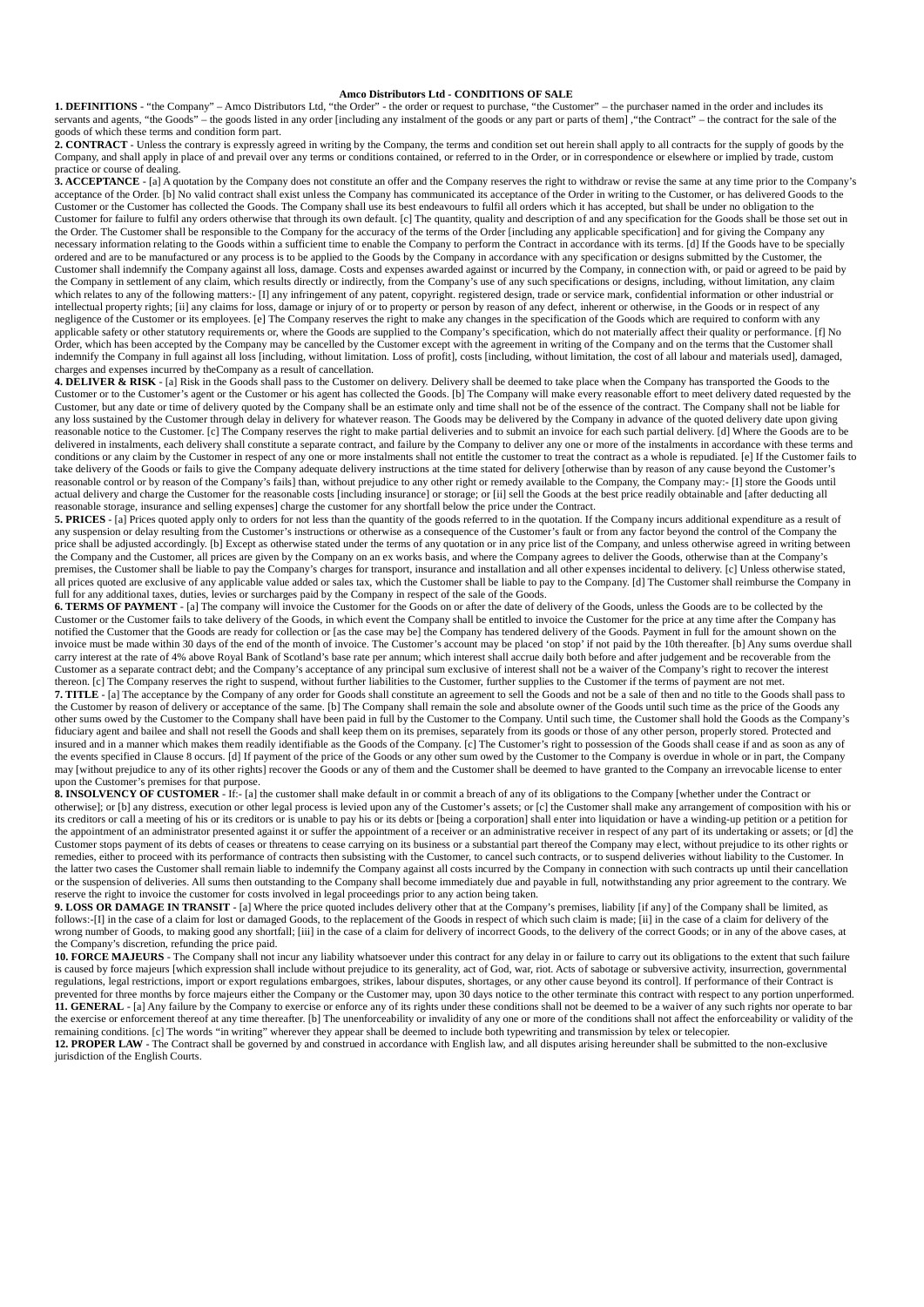## **Amco Distributors Ltd - CONDITIONS OF SALE**

**1. DEFINITIONS** - "the Company" – Amco Distributors Ltd, "the Order" - the order or request to purchase, "the Customer" – the purchaser named in the order and includes its servants and agents, "the Goods" – the goods listed in any order [including any instalment of the goods or any part or parts of them] ,"the Contract" – the contract for the sale of the goods of which these terms and condition form part.

**2. CONTRACT** - Unless the contrary is expressly agreed in writing by the Company, the terms and condition set out herein shall apply to all contracts for the supply of goods by the Company, and shall apply in place of and prevail over any terms or conditions contained, or referred to in the Order, or in correspondence or elsewhere or implied by trade, custom practice or course of dealing.

**3. ACCEPTANCE** - [a] A quotation by the Company does not constitute an offer and the Company reserves the right to withdraw or revise the same at any time prior to the Company's acceptance of the Order. [b] No valid contract shall exist unless the Company has communicated its acceptance of the Order in writing to the Customer, or has delivered Goods to the Customer or the Customer has collected the Goods. The Company shall use its best endeavours to fulfil all orders which it has accepted, but shall be under no obligation to the Customer for failure to fulfil any orders otherwise that through its own default. [c] The quantity, quality and description of and any specification for the Goods shall be those set out in the Order. The Customer shall be responsible to the Company for the accuracy of the terms of the Order [including any applicable specification] and for giving the Company any necessary information relating to the Goods within a sufficient time to enable the Company to perform the Contract in accordance with its terms. [d] If the Goods have to be specially ordered and are to be manufactured or any process is to be applied to the Goods by the Company in accordance with any specification or designs submitted by the Customer, the Customer shall indemnify the Company against all loss, damage. Costs and expenses awarded against or incurred by the Company, in connection with, or paid or agreed to be paid by the Company in settlement of any claim, which results directly or indirectly, from the Company's use of any such specifications or designs, including, without limitation, any claim which relates to any of the following matters:- [I] any infringement of any patent, copyright. registered design, trade or service mark, confidential information or other industrial or intellectual property rights; [ii] any claims for loss, damage or injury of or to property or person by reason of any defect, inherent or otherwise, in the Goods or in respect of any negligence of the Customer or its employees. [e] The Company reserves the right to make any changes in the specification of the Goods which are required to conform with any applicable safety or other statutory requirements or, where the Goods are supplied to the Company's specification, which do not materially affect their quality or performance. [f] No Order, which has been accepted by the Company may be cancelled by the Customer except with the agreement in writing of the Company and on the terms that the Customer shall indemnify the Company in full against all loss [including, without limitation. Loss of profit], costs [including, without limitation, the cost of all labour and materials used], damaged, charges and expenses incurred by theCompany as a result of cancellation.

**4. DELIVER & RISK** - [a] Risk in the Goods shall pass to the Customer on delivery. Delivery shall be deemed to take place when the Company has transported the Goods to the Customer or to the Customer's agent or the Customer or his agent has collected the Goods. [b] The Company will make every reasonable effort to meet delivery dated requested by the Customer, but any date or time of delivery quoted by the Company shall be an estimate only and time shall not be of the essence of the contract. The Company shall not be liable for any loss sustained by the Customer through delay in delivery for whatever reason. The Goods may be delivered by the Company in advance of the quoted delivery date upon giving reasonable notice to the Customer. [c] The Company reserves the right to make partial deliveries and to submit an invoice for each such partial delivery. [d] Where the Goods are to be delivered in instalments, each delivery shall constitute a separate contract, and failure by the Company to deliver any one or more of the instalments in accordance with these terms and conditions or any claim by the Customer in respect of any one or more instalments shall not entitle the customer to treat the contract as a whole is repudiated. [e] If the Customer fails to take delivery of the Goods or fails to give the Company adequate delivery instructions at the time stated for delivery [otherwise than by reason of any cause beyond the Customer's reasonable control or by reason of the Company's fails] than, without prejudice to any other right or remedy available to the Company, the Company may:- [I] store the Goods until actual delivery and charge the Customer for the reasonable costs [including insurance] or storage; or [ii] sell the Goods at the best price readily obtainable and [after deducting all reasonable storage, insurance and selling expenses] charge the customer for any shortfall below the price under the Contract.

**5. PRICES** - [a] Prices quoted apply only to orders for not less than the quantity of the goods referred to in the quotation. If the Company incurs additional expenditure as a result of any suspension or delay resulting from the Customer's instructions or otherwise as a consequence of the Customer's fault or from any factor beyond the control of the Company the price shall be adjusted accordingly. [b] Except as otherwise stated under the terms of any quotation or in any price list of the Company, and unless otherwise agreed in writing between the Company and the Customer, all prices are given by the Company on an ex works basis, and where the Company agrees to deliver the Goods, otherwise than at the Company's premises, the Customer shall be liable to pay the Company's charges for transport, insurance and installation and all other expenses incidental to delivery. [c] Unless otherwise stated, all prices quoted are exclusive of any applicable value added or sales tax, which the Customer shall be liable to pay to the Company. [d] The Customer shall reimburse the Company in full for any additional taxes, duties, levies or surcharges paid by the Company in respect of the sale of the Goods.

**6. TERMS OF PAYMENT** - [a] The company will invoice the Customer for the Goods on or after the date of delivery of the Goods, unless the Goods are to be collected by the Customer or the Customer fails to take delivery of the Goods, in which event the Company shall be entitled to invoice the Customer for the price at any time after the Company has notified the Customer that the Goods are ready for collection or [as the case may be] the Company has tendered delivery of the Goods. Payment in full for the amount shown on the invoice must be made within 30 days of the end of the month of invoice. The Customer's account may be placed 'on stop' if not paid by the 10th thereafter. [b] Any sums overdue shall carry interest at the rate of 4% above Royal Bank of Scotland's base rate per annum; which interest shall accrue daily both before and after judgement and be recoverable from the Customer as a separate contract debt; and the Company's acceptance of any principal sum exclusive of interest shall not be a waiver of the Company's right to recover the interest thereon. [c] The Company reserves the right to suspend, without further liabilities to the Customer, further supplies to the Customer if the terms of payment are not met. **7. TITLE** - [a] The acceptance by the Company of any order for Goods shall constitute an agreement to sell the Goods and not be a sale of then and no title to the Goods shall pass to the Customer by reason of delivery or acceptance of the same. [b] The Company shall remain the sole and absolute owner of the Goods until such time as the price of the Goods any other sums owed by the Customer to the Company shall have been paid in full by the Customer to the Company. Until such time, the Customer shall hold the Goods as the Company's fiduciary agent and bailee and shall not resell the Goods and shall keep them on its premises, separately from its goods or those of any other person, properly stored. Protected and insured and in a manner which makes them readily identifiable as the Goods of the Company. [c] The Customer's right to possession of the Goods shall cease if and as soon as any of the events specified in Clause 8 occurs. [d] If payment of the price of the Goods or any other sum owed by the Customer to the Company is overdue in whole or in part, the Company may [without prejudice to any of its other rights] recover the Goods or any of them and the Customer shall be deemed to have granted to the Company an irrevocable license to enter upon the Customer's premises for that purpose.

**8. INSOLVENCY OF CUSTOMER** - If:- [a] the customer shall make default in or commit a breach of any of its obligations to the Company [whether under the Contract or otherwise]; or [b] any distress, execution or other legal process is levied upon any of the Customer's assets; or [c] the Customer shall make any arrangement of composition with his or its creditors or call a meeting of his or its creditors or is unable to pay his or its debts or [being a corporation] shall enter into liquidation or have a winding-up petition or a petition for the appointment of an administrator presented against it or suffer the appointment of a receiver or an administrative receiver in respect of any part of its undertaking or assets; or [d] the Customer stops payment of its debts of ceases or threatens to cease carrying on its business or a substantial part thereof the Company may elect, without prejudice to its other rights or remedies, either to proceed with its performance of contracts then subsisting with the Customer, to cancel such contracts, or to suspend deliveries without liability to the Customer. In the latter two cases the Customer shall remain liable to indemnify the Company against all costs incurred by the Company in connection with such contracts up until their cancellation or the suspension of deliveries. All sums then outstanding to the Company shall become immediately due and payable in full, notwithstanding any prior agreement to the contrary. We reserve the right to invoice the customer for costs involved in legal proceedings prior to any action being taken.

**9. LOSS OR DAMAGE IN TRANSIT** - [a] Where the price quoted includes delivery other that at the Company's premises, liability [if any] of the Company shall be limited, as follows:-[I] in the case of a claim for lost or damaged Goods, to the replacement of the Goods in respect of which such claim is made; [ii] in the case of a claim for delivery of the wrong number of Goods, to making good any shortfall; [iii] in the case of a claim for delivery of incorrect Goods, to the delivery of the correct Goods; or in any of the above cases, at the Company's discretion, refunding the price paid.

**10. FORCE MAJEURS** - The Company shall not incur any liability whatsoever under this contract for any delay in or failure to carry out its obligations to the extent that such failure is caused by force majeurs [which expression shall include without prejudice to its generality, act of God, war, riot. Acts of sabotage or subversive activity, insurrection, governmental regulations, legal restrictions, import or export regulations embargoes, strikes, labour disputes, shortages, or any other cause beyond its control]. If performance of their Contract is prevented for three months by force majeurs either the Company or the Customer may, upon 30 days notice to the other terminate this contract with respect to any portion unperformed. **11. GENERAL** - [a] Any failure by the Company to exercise or enforce any of its rights under these conditions shall not be deemed to be a waiver of any such rights nor operate to bar the exercise or enforcement thereof at any time thereafter. [b] The unenforceability or invalidity of any one or more of the conditions shall not affect the enforceability or validity of the remaining conditions. [c] The words "in writing" wherever they appear shall be deemed to include both typewriting and transmission by telex or telecopier. 12. PROPER LAW - The Contract shall be governed by and construed in accordance with English law, and all disputes arising hereunder shall be submitted to the non-exclusive jurisdiction of the English Courts.